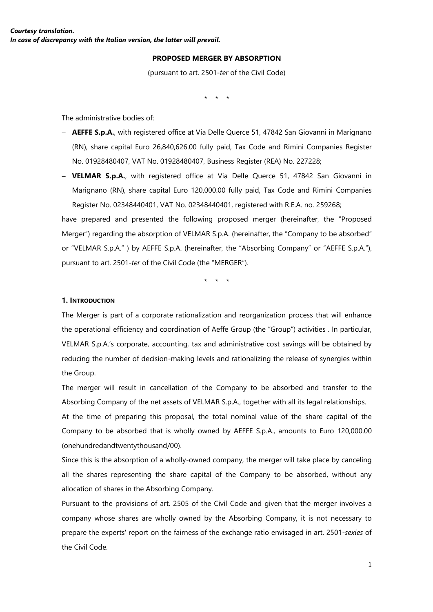#### **PROPOSED MERGER BY ABSORPTION**

(pursuant to art. 2501-*ter* of the Civil Code)

\* \* \*

The administrative bodies of:

- − **AEFFE S.p.A.**, with registered office at Via Delle Querce 51, 47842 San Giovanni in Marignano (RN), share capital Euro 26,840,626.00 fully paid, Tax Code and Rimini Companies Register No. 01928480407, VAT No. 01928480407, Business Register (REA) No. 227228;
- − **VELMAR S.p.A.**, with registered office at Via Delle Querce 51, 47842 San Giovanni in Marignano (RN), share capital Euro 120,000.00 fully paid, Tax Code and Rimini Companies Register No. 02348440401, VAT No. 02348440401, registered with R.E.A. no. 259268;

have prepared and presented the following proposed merger (hereinafter, the "Proposed Merger") regarding the absorption of VELMAR S.p.A. (hereinafter, the "Company to be absorbed" or "VELMAR S.p.A." ) by AEFFE S.p.A. (hereinafter, the "Absorbing Company" or "AEFFE S.p.A."), pursuant to art. 2501-*ter* of the Civil Code (the "MERGER").

\* \* \*

#### **1. INTRODUCTION**

The Merger is part of a corporate rationalization and reorganization process that will enhance the operational efficiency and coordination of Aeffe Group (the "Group") activities . In particular, VELMAR S.p.A.'s corporate, accounting, tax and administrative cost savings will be obtained by reducing the number of decision-making levels and rationalizing the release of synergies within the Group.

The merger will result in cancellation of the Company to be absorbed and transfer to the Absorbing Company of the net assets of VELMAR S.p.A., together with all its legal relationships. At the time of preparing this proposal, the total nominal value of the share capital of the Company to be absorbed that is wholly owned by AEFFE S.p.A., amounts to Euro 120,000.00 (onehundredandtwentythousand/00).

Since this is the absorption of a wholly-owned company, the merger will take place by canceling all the shares representing the share capital of the Company to be absorbed, without any allocation of shares in the Absorbing Company.

Pursuant to the provisions of art. 2505 of the Civil Code and given that the merger involves a company whose shares are wholly owned by the Absorbing Company, it is not necessary to prepare the experts' report on the fairness of the exchange ratio envisaged in art. 2501-*sexies* of the Civil Code.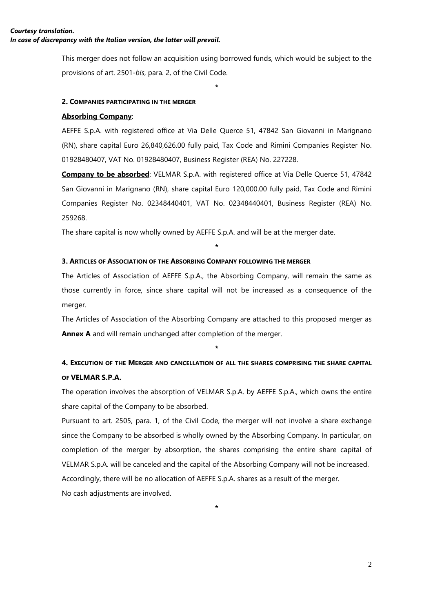This merger does not follow an acquisition using borrowed funds, which would be subject to the provisions of art. 2501-*bis*, para. 2, of the Civil Code.

**\***

#### **2. COMPANIES PARTICIPATING IN THE MERGER**

#### **Absorbing Company**:

AEFFE S.p.A. with registered office at Via Delle Querce 51, 47842 San Giovanni in Marignano (RN), share capital Euro 26,840,626.00 fully paid, Tax Code and Rimini Companies Register No. 01928480407, VAT No. 01928480407, Business Register (REA) No. 227228.

**Company to be absorbed:** VELMAR S.p.A. with registered office at Via Delle Querce 51, 47842 San Giovanni in Marignano (RN), share capital Euro 120,000.00 fully paid, Tax Code and Rimini Companies Register No. 02348440401, VAT No. 02348440401, Business Register (REA) No. 259268.

The share capital is now wholly owned by AEFFE S.p.A. and will be at the merger date.

#### **3. ARTICLES OF ASSOCIATION OF THE ABSORBING COMPANY FOLLOWING THE MERGER**

The Articles of Association of AEFFE S.p.A., the Absorbing Company, will remain the same as those currently in force, since share capital will not be increased as a consequence of the merger.

**\***

The Articles of Association of the Absorbing Company are attached to this proposed merger as **Annex A** and will remain unchanged after completion of the merger.

# **4. EXECUTION OF THE MERGER AND CANCELLATION OF ALL THE SHARES COMPRISING THE SHARE CAPITAL OF VELMAR S.P.A.**

**\***

The operation involves the absorption of VELMAR S.p.A. by AEFFE S.p.A., which owns the entire share capital of the Company to be absorbed.

Pursuant to art. 2505, para. 1, of the Civil Code, the merger will not involve a share exchange since the Company to be absorbed is wholly owned by the Absorbing Company. In particular, on completion of the merger by absorption, the shares comprising the entire share capital of VELMAR S.p.A. will be canceled and the capital of the Absorbing Company will not be increased. Accordingly, there will be no allocation of AEFFE S.p.A. shares as a result of the merger. No cash adjustments are involved.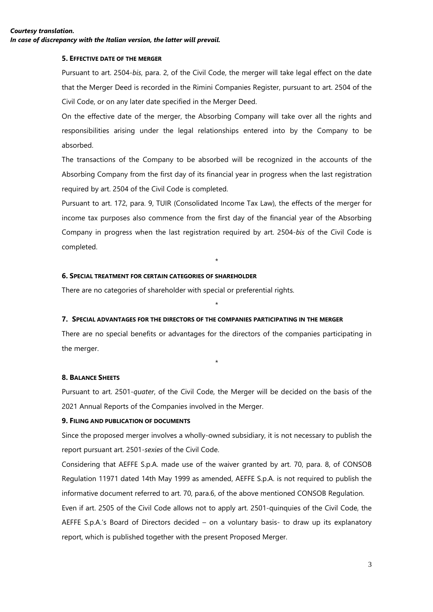#### **5. EFFECTIVE DATE OF THE MERGER**

Pursuant to art. 2504-*bis*, para. 2, of the Civil Code, the merger will take legal effect on the date that the Merger Deed is recorded in the Rimini Companies Register, pursuant to art. 2504 of the Civil Code, or on any later date specified in the Merger Deed.

On the effective date of the merger, the Absorbing Company will take over all the rights and responsibilities arising under the legal relationships entered into by the Company to be absorbed.

The transactions of the Company to be absorbed will be recognized in the accounts of the Absorbing Company from the first day of its financial year in progress when the last registration required by art. 2504 of the Civil Code is completed.

Pursuant to art. 172, para. 9, TUIR (Consolidated Income Tax Law), the effects of the merger for income tax purposes also commence from the first day of the financial year of the Absorbing Company in progress when the last registration required by art. 2504-*bis* of the Civil Code is completed.

### \*

#### **6. SPECIAL TREATMENT FOR CERTAIN CATEGORIES OF SHAREHOLDER**

There are no categories of shareholder with special or preferential rights.

#### **7. SPECIAL ADVANTAGES FOR THE DIRECTORS OF THE COMPANIES PARTICIPATING IN THE MERGER**

There are no special benefits or advantages for the directors of the companies participating in the merger.

\*

\*

#### **8. BALANCE SHEETS**

Pursuant to art. 2501-*quater*, of the Civil Code, the Merger will be decided on the basis of the 2021 Annual Reports of the Companies involved in the Merger.

#### **9. FILING AND PUBLICATION OF DOCUMENTS**

Since the proposed merger involves a wholly-owned subsidiary, it is not necessary to publish the report pursuant art. 2501-*sexies* of the Civil Code.

Considering that AEFFE S.p.A. made use of the waiver granted by art. 70, para. 8, of CONSOB Regulation 11971 dated 14th May 1999 as amended, AEFFE S.p.A. is not required to publish the informative document referred to art. 70, para.6, of the above mentioned CONSOB Regulation.

Even if art. 2505 of the Civil Code allows not to apply art. 2501-quinquies of the Civil Code, the AEFFE S.p.A.'s Board of Directors decided – on a voluntary basis- to draw up its explanatory report, which is published together with the present Proposed Merger.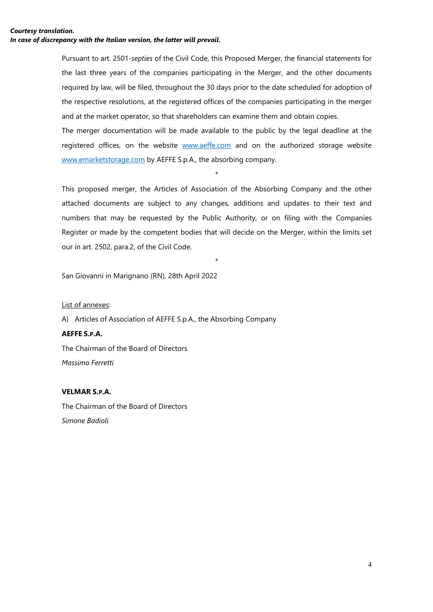Pursuant to art. 2501-*septies* of the Civil Code, this Proposed Merger, the financial statements for the last three years of the companies participating in the Merger, and the other documents required by law, will be filed, throughout the 30 days prior to the date scheduled for adoption of the respective resolutions, at the registered offices of the companies participating in the merger and at the market operator, so that shareholders can examine them and obtain copies.

The merger documentation will be made available to the public by the legal deadline at the registered offices, on the website [www.aeffe.com](http://www.aeffe.com/) and on the authorized storage website [www.emarketstorage.com](http://www.emarketstorage.com/) by AEFFE S.p.A., the absorbing company.

\*

This proposed merger, the Articles of Association of the Absorbing Company and the other attached documents are subject to any changes, additions and updates to their text and numbers that may be requested by the Public Authority, or on filing with the Companies Register or made by the competent bodies that will decide on the Merger, within the limits set our in art. 2502, para.2, of the Civil Code.

\*

San Giovanni in Marignano (RN), 28th April 2022

#### List of annexes:

A) Articles of Association of AEFFE S.p.A., the Absorbing Company **AEFFE S.P.A.** The Chairman of the Board of Directors *Massimo Ferretti*

#### **VELMAR S.P.A.**

The Chairman of the Board of Directors *Simone Badioli*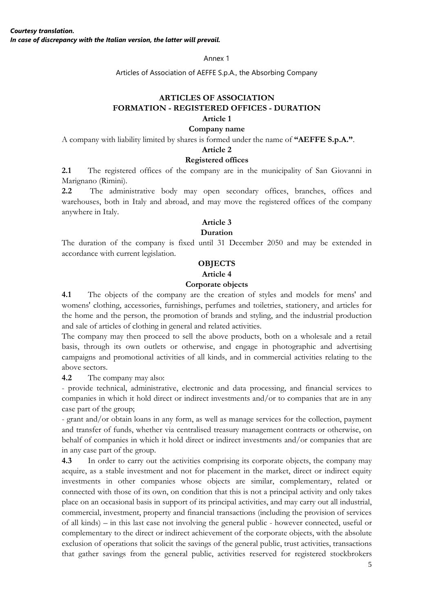Annex 1

Articles of Association of AEFFE S.p.A., the Absorbing Company

#### **ARTICLES OF ASSOCIATION FORMATION - REGISTERED OFFICES - DURATION Article 1**

#### **Company name**

A company with liability limited by shares is formed under the name of **"AEFFE S.p.A."**.

#### **Article 2**

#### **Registered offices**

**2.1** The registered offices of the company are in the municipality of San Giovanni in Marignano (Rimini).

**2.2** The administrative body may open secondary offices, branches, offices and warehouses, both in Italy and abroad, and may move the registered offices of the company anywhere in Italy.

#### **Article 3**

### **Duration**

The duration of the company is fixed until 31 December 2050 and may be extended in accordance with current legislation.

#### **OBJECTS**

# **Article 4**

#### **Corporate objects**

**4.1** The objects of the company are the creation of styles and models for mens' and womens' clothing, accessories, furnishings, perfumes and toiletries, stationery, and articles for the home and the person, the promotion of brands and styling, and the industrial production and sale of articles of clothing in general and related activities.

The company may then proceed to sell the above products, both on a wholesale and a retail basis, through its own outlets or otherwise, and engage in photographic and advertising campaigns and promotional activities of all kinds, and in commercial activities relating to the above sectors.

**4.2** The company may also:

- provide technical, administrative, electronic and data processing, and financial services to companies in which it hold direct or indirect investments and/or to companies that are in any case part of the group;

- grant and/or obtain loans in any form, as well as manage services for the collection, payment and transfer of funds, whether via centralised treasury management contracts or otherwise, on behalf of companies in which it hold direct or indirect investments and/or companies that are in any case part of the group.

**4.3** In order to carry out the activities comprising its corporate objects, the company may acquire, as a stable investment and not for placement in the market, direct or indirect equity investments in other companies whose objects are similar, complementary, related or connected with those of its own, on condition that this is not a principal activity and only takes place on an occasional basis in support of its principal activities, and may carry out all industrial, commercial, investment, property and financial transactions (including the provision of services of all kinds) – in this last case not involving the general public - however connected, useful or complementary to the direct or indirect achievement of the corporate objects, with the absolute exclusion of operations that solicit the savings of the general public, trust activities, transactions that gather savings from the general public, activities reserved for registered stockbrokers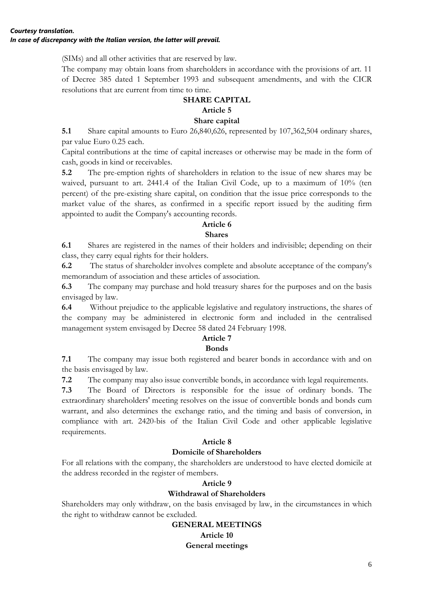(SIMs) and all other activities that are reserved by law.

The company may obtain loans from shareholders in accordance with the provisions of art. 11 of Decree 385 dated 1 September 1993 and subsequent amendments, and with the CICR resolutions that are current from time to time.

#### **SHARE CAPITAL Article 5**

# **Share capital**

**5.1** Share capital amounts to Euro 26,840,626, represented by 107,362,504 ordinary shares, par value Euro 0.25 each.

Capital contributions at the time of capital increases or otherwise may be made in the form of cash, goods in kind or receivables.

**5.2** The pre-emption rights of shareholders in relation to the issue of new shares may be waived, pursuant to art. 2441.4 of the Italian Civil Code, up to a maximum of 10% (ten percent) of the pre-existing share capital, on condition that the issue price corresponds to the market value of the shares, as confirmed in a specific report issued by the auditing firm appointed to audit the Company's accounting records.

### **Article 6**

### **Shares**

**6.1** Shares are registered in the names of their holders and indivisible; depending on their class, they carry equal rights for their holders.

**6.2** The status of shareholder involves complete and absolute acceptance of the company's memorandum of association and these articles of association.

**6.3** The company may purchase and hold treasury shares for the purposes and on the basis envisaged by law.

**6.4** Without prejudice to the applicable legislative and regulatory instructions, the shares of the company may be administered in electronic form and included in the centralised management system envisaged by Decree 58 dated 24 February 1998.

### **Article 7**

### **Bonds**

**7.1** The company may issue both registered and bearer bonds in accordance with and on the basis envisaged by law.

**7.2** The company may also issue convertible bonds, in accordance with legal requirements.

**7.3** The Board of Directors is responsible for the issue of ordinary bonds. The extraordinary shareholders' meeting resolves on the issue of convertible bonds and bonds cum warrant, and also determines the exchange ratio, and the timing and basis of conversion, in compliance with art. 2420-bis of the Italian Civil Code and other applicable legislative requirements.

### **Article 8**

### **Domicile of Shareholders**

For all relations with the company, the shareholders are understood to have elected domicile at the address recorded in the register of members.

### **Article 9**

### **Withdrawal of Shareholders**

Shareholders may only withdraw, on the basis envisaged by law, in the circumstances in which the right to withdraw cannot be excluded.

# **GENERAL MEETINGS Article 10 General meetings**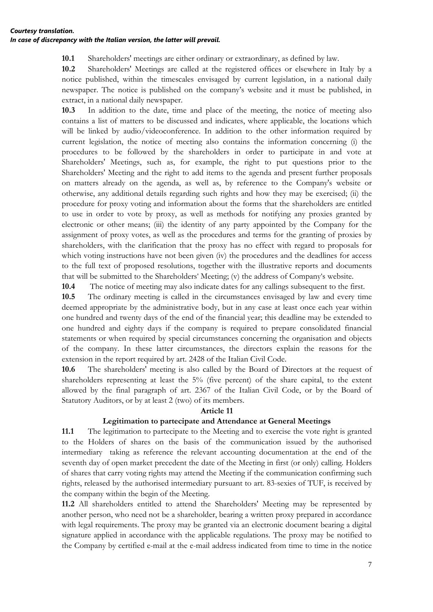#### *Courtesy translation. In case of discrepancy with the Italian version, the latter will prevail.*

**10.1** Shareholders' meetings are either ordinary or extraordinary, as defined by law.

**10.2** Shareholders' Meetings are called at the registered offices or elsewhere in Italy by a notice published, within the timescales envisaged by current legislation, in a national daily newspaper. The notice is published on the company's website and it must be published, in extract, in a national daily newspaper.

**10.3** In addition to the date, time and place of the meeting, the notice of meeting also contains a list of matters to be discussed and indicates, where applicable, the locations which will be linked by audio/videoconference. In addition to the other information required by current legislation, the notice of meeting also contains the information concerning (i) the procedures to be followed by the shareholders in order to participate in and vote at Shareholders' Meetings, such as, for example, the right to put questions prior to the Shareholders' Meeting and the right to add items to the agenda and present further proposals on matters already on the agenda, as well as, by reference to the Company's website or otherwise, any additional details regarding such rights and how they may be exercised; (ii) the procedure for proxy voting and information about the forms that the shareholders are entitled to use in order to vote by proxy, as well as methods for notifying any proxies granted by electronic or other means; (iii) the identity of any party appointed by the Company for the assignment of proxy votes, as well as the procedures and terms for the granting of proxies by shareholders, with the clarification that the proxy has no effect with regard to proposals for which voting instructions have not been given (iv) the procedures and the deadlines for access to the full text of proposed resolutions, together with the illustrative reports and documents that will be submitted to the Shareholders' Meeting; (v) the address of Company's website.

**10.4** The notice of meeting may also indicate dates for any callings subsequent to the first.

**10.5** The ordinary meeting is called in the circumstances envisaged by law and every time deemed appropriate by the administrative body, but in any case at least once each year within one hundred and twenty days of the end of the financial year; this deadline may be extended to one hundred and eighty days if the company is required to prepare consolidated financial statements or when required by special circumstances concerning the organisation and objects of the company. In these latter circumstances, the directors explain the reasons for the extension in the report required by art. 2428 of the Italian Civil Code.

**10.6** The shareholders' meeting is also called by the Board of Directors at the request of shareholders representing at least the 5% (five percent) of the share capital, to the extent allowed by the final paragraph of art. 2367 of the Italian Civil Code, or by the Board of Statutory Auditors, or by at least 2 (two) of its members.

#### **Article 11**

#### **Legitimation to partecipate and Attendance at General Meetings**

**11.1** The legitimation to partecipate to the Meeting and to exercise the vote right is granted to the Holders of shares on the basis of the communication issued by the authorised intermediary taking as reference the relevant accounting documentation at the end of the seventh day of open market precedent the date of the Meeting in first (or only) calling. Holders of shares that carry voting rights may attend the Meeting if the communication confirming such rights, released by the authorised intermediary pursuant to art. 83-sexies of TUF, is received by the company within the begin of the Meeting.

**11.2** All shareholders entitled to attend the Shareholders' Meeting may be represented by another person, who need not be a shareholder, bearing a written proxy prepared in accordance with legal requirements. The proxy may be granted via an electronic document bearing a digital signature applied in accordance with the applicable regulations. The proxy may be notified to the Company by certified e-mail at the e-mail address indicated from time to time in the notice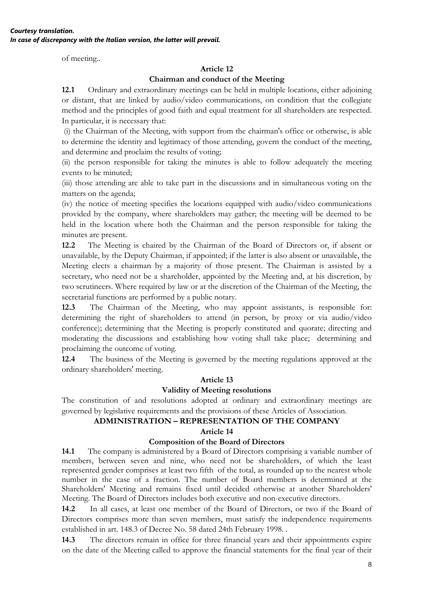of meeting..

## **Article 12**

### **Chairman and conduct of the Meeting**

**12.1** Ordinary and extraordinary meetings can be held in multiple locations, either adjoining or distant, that are linked by audio/video communications, on condition that the collegiate method and the principles of good faith and equal treatment for all shareholders are respected. In particular, it is necessary that:

(i) the Chairman of the Meeting, with support from the chairman's office or otherwise, is able to determine the identity and legitimacy of those attending, govern the conduct of the meeting, and determine and proclaim the results of voting;

(ii) the person responsible for taking the minutes is able to follow adequately the meeting events to be minuted;

(iii) those attending are able to take part in the discussions and in simultaneous voting on the matters on the agenda;

(iv) the notice of meeting specifies the locations equipped with audio/video communications provided by the company, where shareholders may gather; the meeting will be deemed to be held in the location where both the Chairman and the person responsible for taking the minutes are present.

**12.2** The Meeting is chaired by the Chairman of the Board of Directors or, if absent or unavailable, by the Deputy Chairman, if appointed; if the latter is also absent or unavailable, the Meeting elects a chairman by a majority of those present. The Chairman is assisted by a secretary, who need not be a shareholder, appointed by the Meeting and, at his discretion, by two scrutineers. Where required by law or at the discretion of the Chairman of the Meeting, the secretarial functions are performed by a public notary.

**12.3** The Chairman of the Meeting, who may appoint assistants, is responsible for: determining the right of shareholders to attend (in person, by proxy or via audio/video conference); determining that the Meeting is properly constituted and quorate; directing and moderating the discussions and establishing how voting shall take place; determining and proclaiming the outcome of voting.

**12.4** The business of the Meeting is governed by the meeting regulations approved at the ordinary shareholders' meeting.

### **Article 13**

### **Validity of Meeting resolutions**

The constitution of and resolutions adopted at ordinary and extraordinary meetings are governed by legislative requirements and the provisions of these Articles of Association.

# **ADMINISTRATION – REPRESENTATION OF THE COMPANY**

### **Article 14**

### **Composition of the Board of Directors**

**14.1** The company is administered by a Board of Directors comprising a variable number of members, between seven and nine, who need not be shareholders, of which the least represented gender comprises at least two fifth of the total, as rounded up to the nearest whole number in the case of a fraction. The number of Board members is determined at the Shareholders' Meeting and remains fixed until decided otherwise at another Shareholders' Meeting. The Board of Directors includes both executive and non-executive directors.

**14.2** In all cases, at least one member of the Board of Directors, or two if the Board of Directors comprises more than seven members, must satisfy the independence requirements established in art. 148.3 of Decree No. 58 dated 24th February 1998. .

**14.3** The directors remain in office for three financial years and their appointments expire on the date of the Meeting called to approve the financial statements for the final year of their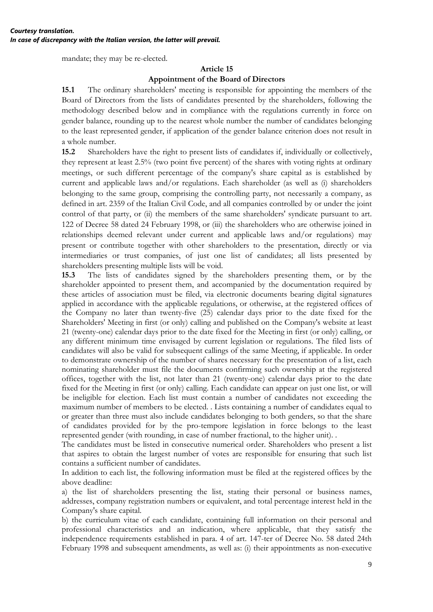mandate; they may be re-elected.

## **Article 15**

#### **Appointment of the Board of Directors**

**15.1** The ordinary shareholders' meeting is responsible for appointing the members of the Board of Directors from the lists of candidates presented by the shareholders, following the methodology described below and in compliance with the regulations currently in force on gender balance, rounding up to the nearest whole number the number of candidates belonging to the least represented gender, if application of the gender balance criterion does not result in a whole number.

**15.2** Shareholders have the right to present lists of candidates if, individually or collectively, they represent at least 2.5% (two point five percent) of the shares with voting rights at ordinary meetings, or such different percentage of the company's share capital as is established by current and applicable laws and/or regulations. Each shareholder (as well as (i) shareholders belonging to the same group, comprising the controlling party, not necessarily a company, as defined in art. 2359 of the Italian Civil Code, and all companies controlled by or under the joint control of that party, or (ii) the members of the same shareholders' syndicate pursuant to art. 122 of Decree 58 dated 24 February 1998, or (iii) the shareholders who are otherwise joined in relationships deemed relevant under current and applicable laws and/or regulations) may present or contribute together with other shareholders to the presentation, directly or via intermediaries or trust companies, of just one list of candidates; all lists presented by shareholders presenting multiple lists will be void.

**15.3** The lists of candidates signed by the shareholders presenting them, or by the shareholder appointed to present them, and accompanied by the documentation required by these articles of association must be filed, via electronic documents bearing digital signatures applied in accordance with the applicable regulations, or otherwise, at the registered offices of the Company no later than twenty-five (25) calendar days prior to the date fixed for the Shareholders' Meeting in first (or only) calling and published on the Company's website at least 21 (twenty-one) calendar days prior to the date fixed for the Meeting in first (or only) calling, or any different minimum time envisaged by current legislation or regulations. The filed lists of candidates will also be valid for subsequent callings of the same Meeting, if applicable. In order to demonstrate ownership of the number of shares necessary for the presentation of a list, each nominating shareholder must file the documents confirming such ownership at the registered offices, together with the list, not later than 21 (twenty-one) calendar days prior to the date fixed for the Meeting in first (or only) calling. Each candidate can appear on just one list, or will be ineligible for election. Each list must contain a number of candidates not exceeding the maximum number of members to be elected. . Lists containing a number of candidates equal to or greater than three must also include candidates belonging to both genders, so that the share of candidates provided for by the pro-tempore legislation in force belongs to the least represented gender (with rounding, in case of number fractional, to the higher unit). .

The candidates must be listed in consecutive numerical order. Shareholders who present a list that aspires to obtain the largest number of votes are responsible for ensuring that such list contains a sufficient number of candidates.

In addition to each list, the following information must be filed at the registered offices by the above deadline:

a) the list of shareholders presenting the list, stating their personal or business names, addresses, company registration numbers or equivalent, and total percentage interest held in the Company's share capital.

b) the curriculum vitae of each candidate, containing full information on their personal and professional characteristics and an indication, where applicable, that they satisfy the independence requirements established in para. 4 of art. 147-ter of Decree No. 58 dated 24th February 1998 and subsequent amendments, as well as: (i) their appointments as non-executive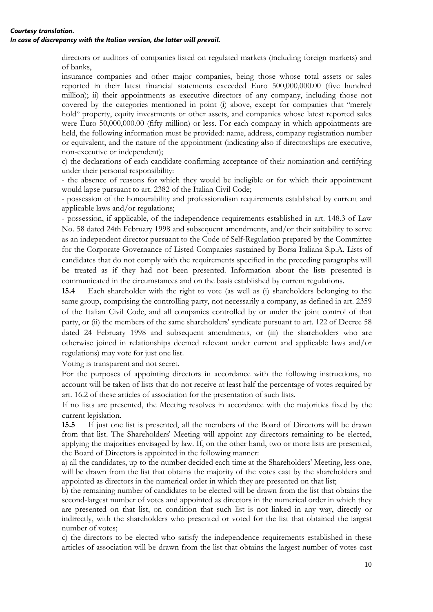directors or auditors of companies listed on regulated markets (including foreign markets) and of banks,

insurance companies and other major companies, being those whose total assets or sales reported in their latest financial statements exceeded Euro 500,000,000.00 (five hundred million); ii) their appointments as executive directors of any company, including those not covered by the categories mentioned in point (i) above, except for companies that "merely hold" property, equity investments or other assets, and companies whose latest reported sales were Euro 50,000,000.00 (fifty million) or less. For each company in which appointments are held, the following information must be provided: name, address, company registration number or equivalent, and the nature of the appointment (indicating also if directorships are executive, non-executive or independent);

c) the declarations of each candidate confirming acceptance of their nomination and certifying under their personal responsibility:

- the absence of reasons for which they would be ineligible or for which their appointment would lapse pursuant to art. 2382 of the Italian Civil Code;

- possession of the honourability and professionalism requirements established by current and applicable laws and/or regulations;

- possession, if applicable, of the independence requirements established in art. 148.3 of Law No. 58 dated 24th February 1998 and subsequent amendments, and/or their suitability to serve as an independent director pursuant to the Code of Self-Regulation prepared by the Committee for the Corporate Governance of Listed Companies sustained by Borsa Italiana S.p.A. Lists of candidates that do not comply with the requirements specified in the preceding paragraphs will be treated as if they had not been presented. Information about the lists presented is communicated in the circumstances and on the basis established by current regulations.

**15.4** Each shareholder with the right to vote (as well as (i) shareholders belonging to the same group, comprising the controlling party, not necessarily a company, as defined in art. 2359 of the Italian Civil Code, and all companies controlled by or under the joint control of that party, or (ii) the members of the same shareholders' syndicate pursuant to art. 122 of Decree 58 dated 24 February 1998 and subsequent amendments, or (iii) the shareholders who are otherwise joined in relationships deemed relevant under current and applicable laws and/or regulations) may vote for just one list.

Voting is transparent and not secret.

For the purposes of appointing directors in accordance with the following instructions, no account will be taken of lists that do not receive at least half the percentage of votes required by art. 16.2 of these articles of association for the presentation of such lists.

If no lists are presented, the Meeting resolves in accordance with the majorities fixed by the current legislation.

**15.5** If just one list is presented, all the members of the Board of Directors will be drawn from that list. The Shareholders' Meeting will appoint any directors remaining to be elected, applying the majorities envisaged by law. If, on the other hand, two or more lists are presented, the Board of Directors is appointed in the following manner:

a) all the candidates, up to the number decided each time at the Shareholders' Meeting, less one, will be drawn from the list that obtains the majority of the votes cast by the shareholders and appointed as directors in the numerical order in which they are presented on that list;

b) the remaining number of candidates to be elected will be drawn from the list that obtains the second-largest number of votes and appointed as directors in the numerical order in which they are presented on that list, on condition that such list is not linked in any way, directly or indirectly, with the shareholders who presented or voted for the list that obtained the largest number of votes;

c) the directors to be elected who satisfy the independence requirements established in these articles of association will be drawn from the list that obtains the largest number of votes cast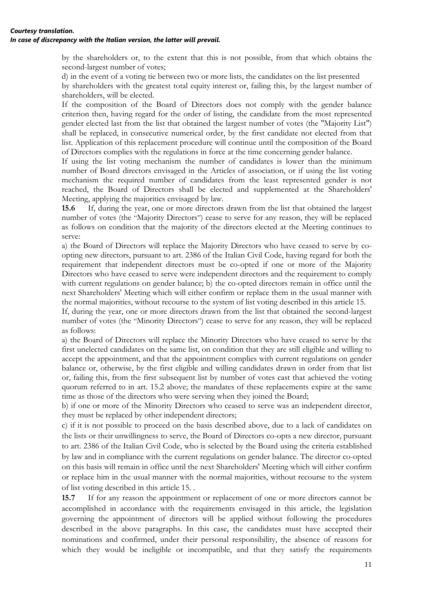by the shareholders or, to the extent that this is not possible, from that which obtains the second-largest number of votes;

d) in the event of a voting tie between two or more lists, the candidates on the list presented

by shareholders with the greatest total equity interest or, failing this, by the largest number of shareholders, will be elected.

If the composition of the Board of Directors does not comply with the gender balance criterion then, having regard for the order of listing, the candidate from the most represented gender elected last from the list that obtained the largest number of votes (the "Majority List") shall be replaced, in consecutive numerical order, by the first candidate not elected from that list. Application of this replacement procedure will continue until the composition of the Board of Directors complies with the regulations in force at the time concerning gender balance.

If using the list voting mechanism the number of candidates is lower than the minimum number of Board directors envisaged in the Articles of association, or if using the list voting mechanism the required number of candidates from the least represented gender is not reached, the Board of Directors shall be elected and supplemented at the Shareholders' Meeting, applying the majorities envisaged by law.

**15.6** If, during the year, one or more directors drawn from the list that obtained the largest number of votes (the "Majority Directors") cease to serve for any reason, they will be replaced as follows on condition that the majority of the directors elected at the Meeting continues to serve:

a) the Board of Directors will replace the Majority Directors who have ceased to serve by coopting new directors, pursuant to art. 2386 of the Italian Civil Code, having regard for both the requirement that independent directors must be co-opted if one or more of the Majority Directors who have ceased to serve were independent directors and the requirement to comply with current regulations on gender balance; b) the co-opted directors remain in office until the next Shareholders' Meeting which will either confirm or replace them in the usual manner with the normal majorities, without recourse to the system of list voting described in this article 15.

If, during the year, one or more directors drawn from the list that obtained the second-largest number of votes (the "Minority Directors") cease to serve for any reason, they will be replaced as follows:

a) the Board of Directors will replace the Minority Directors who have ceased to serve by the first unelected candidates on the same list, on condition that they are still eligible and willing to accept the appointment, and that the appointment complies with current regulations on gender balance or, otherwise, by the first eligible and willing candidates drawn in order from that list or, failing this, from the first subsequent list by number of votes cast that achieved the voting quorum referred to in art. 15.2 above; the mandates of these replacements expire at the same time as those of the directors who were serving when they joined the Board;

b) if one or more of the Minority Directors who ceased to serve was an independent director, they must be replaced by other independent directors;

c) if it is not possible to proceed on the basis described above, due to a lack of candidates on the lists or their unwillingness to serve, the Board of Directors co-opts a new director, pursuant to art. 2386 of the Italian Civil Code, who is selected by the Board using the criteria established by law and in compliance with the current regulations on gender balance. The director co-opted on this basis will remain in office until the next Shareholders' Meeting which will either confirm or replace him in the usual manner with the normal majorities, without recourse to the system of list voting described in this article 15. .

**15.7** If for any reason the appointment or replacement of one or more directors cannot be accomplished in accordance with the requirements envisaged in this article, the legislation governing the appointment of directors will be applied without following the procedures described in the above paragraphs. In this case, the candidates must have accepted their nominations and confirmed, under their personal responsibility, the absence of reasons for which they would be ineligible or incompatible, and that they satisfy the requirements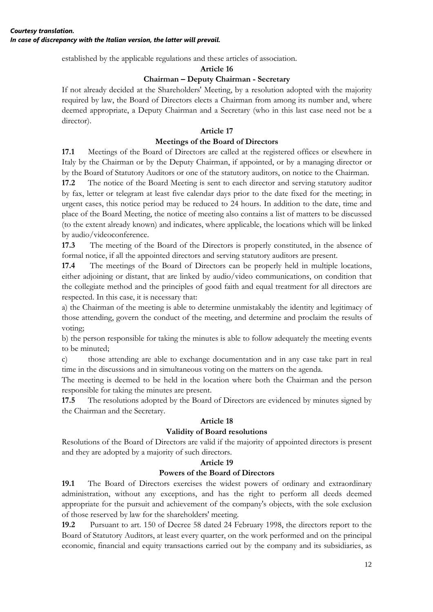established by the applicable regulations and these articles of association.

#### **Article 16**

# **Chairman – Deputy Chairman - Secretary**

If not already decided at the Shareholders' Meeting, by a resolution adopted with the majority required by law, the Board of Directors elects a Chairman from among its number and, where deemed appropriate, a Deputy Chairman and a Secretary (who in this last case need not be a director).

# **Article 17**

# **Meetings of the Board of Directors**

**17.1** Meetings of the Board of Directors are called at the registered offices or elsewhere in Italy by the Chairman or by the Deputy Chairman, if appointed, or by a managing director or by the Board of Statutory Auditors or one of the statutory auditors, on notice to the Chairman.

**17.2** The notice of the Board Meeting is sent to each director and serving statutory auditor by fax, letter or telegram at least five calendar days prior to the date fixed for the meeting; in urgent cases, this notice period may be reduced to 24 hours. In addition to the date, time and place of the Board Meeting, the notice of meeting also contains a list of matters to be discussed (to the extent already known) and indicates, where applicable, the locations which will be linked by audio/videoconference.

**17.3** The meeting of the Board of the Directors is properly constituted, in the absence of formal notice, if all the appointed directors and serving statutory auditors are present.

**17.4** The meetings of the Board of Directors can be properly held in multiple locations, either adjoining or distant, that are linked by audio/video communications, on condition that the collegiate method and the principles of good faith and equal treatment for all directors are respected. In this case, it is necessary that:

a) the Chairman of the meeting is able to determine unmistakably the identity and legitimacy of those attending, govern the conduct of the meeting, and determine and proclaim the results of voting;

b) the person responsible for taking the minutes is able to follow adequately the meeting events to be minuted;

c) those attending are able to exchange documentation and in any case take part in real time in the discussions and in simultaneous voting on the matters on the agenda.

The meeting is deemed to be held in the location where both the Chairman and the person responsible for taking the minutes are present.

**17.5** The resolutions adopted by the Board of Directors are evidenced by minutes signed by the Chairman and the Secretary.

### **Article 18**

### **Validity of Board resolutions**

Resolutions of the Board of Directors are valid if the majority of appointed directors is present and they are adopted by a majority of such directors.

### **Article 19**

### **Powers of the Board of Directors**

**19.1** The Board of Directors exercises the widest powers of ordinary and extraordinary administration, without any exceptions, and has the right to perform all deeds deemed appropriate for the pursuit and achievement of the company's objects, with the sole exclusion of those reserved by law for the shareholders' meeting.

**19.2** Pursuant to art. 150 of Decree 58 dated 24 February 1998, the directors report to the Board of Statutory Auditors, at least every quarter, on the work performed and on the principal economic, financial and equity transactions carried out by the company and its subsidiaries, as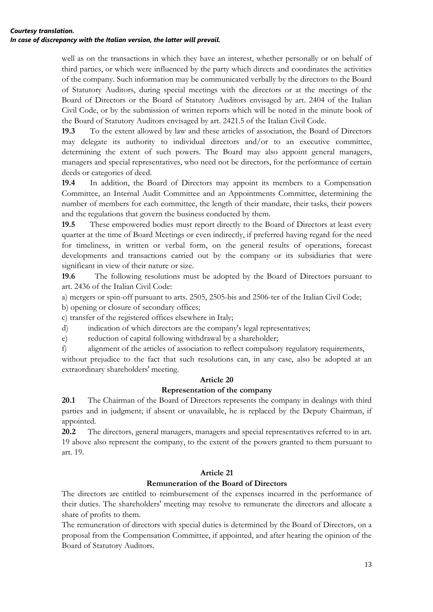well as on the transactions in which they have an interest, whether personally or on behalf of third parties, or which were influenced by the party which directs and coordinates the activities of the company. Such information may be communicated verbally by the directors to the Board of Statutory Auditors, during special meetings with the directors or at the meetings of the Board of Directors or the Board of Statutory Auditors envisaged by art. 2404 of the Italian Civil Code, or by the submission of written reports which will be noted in the minute book of the Board of Statutory Auditors envisaged by art. 2421.5 of the Italian Civil Code.

**19.3** To the extent allowed by law and these articles of association, the Board of Directors may delegate its authority to individual directors and/or to an executive committee, determining the extent of such powers. The Board may also appoint general managers, managers and special representatives, who need not be directors, for the performance of certain deeds or categories of deed.

**19.4** In addition, the Board of Directors may appoint its members to a Compensation Committee, an Internal Audit Committee and an Appointments Committee, determining the number of members for each committee, the length of their mandate, their tasks, their powers and the regulations that govern the business conducted by them.

**19.5** These empowered bodies must report directly to the Board of Directors at least every quarter at the time of Board Meetings or even indirectly, if preferred having regard for the need for timeliness, in written or verbal form, on the general results of operations, forecast developments and transactions carried out by the company or its subsidiaries that were significant in view of their nature or size.

**19.6** The following resolutions must be adopted by the Board of Directors pursuant to art. 2436 of the Italian Civil Code:

a) mergers or spin-off pursuant to arts. 2505, 2505-bis and 2506-ter of the Italian Civil Code;

b) opening or closure of secondary offices;

c) transfer of the registered offices elsewhere in Italy;

d) indication of which directors are the company's legal representatives;

e) reduction of capital following withdrawal by a shareholder;

f) alignment of the articles of association to reflect compulsory regulatory requirements,

without prejudice to the fact that such resolutions can, in any case, also be adopted at an extraordinary shareholders' meeting.

### **Article 20**

### **Representation of the company**

**20.1** The Chairman of the Board of Directors represents the company in dealings with third parties and in judgment; if absent or unavailable, he is replaced by the Deputy Chairman, if appointed.

**20.2** The directors, general managers, managers and special representatives referred to in art. 19 above also represent the company, to the extent of the powers granted to them pursuant to art. 19.

### **Article 21**

### **Remuneration of the Board of Directors**

The directors are entitled to reimbursement of the expenses incurred in the performance of their duties. The shareholders' meeting may resolve to remunerate the directors and allocate a share of profits to them.

The remuneration of directors with special duties is determined by the Board of Directors, on a proposal from the Compensation Committee, if appointed, and after hearing the opinion of the Board of Statutory Auditors.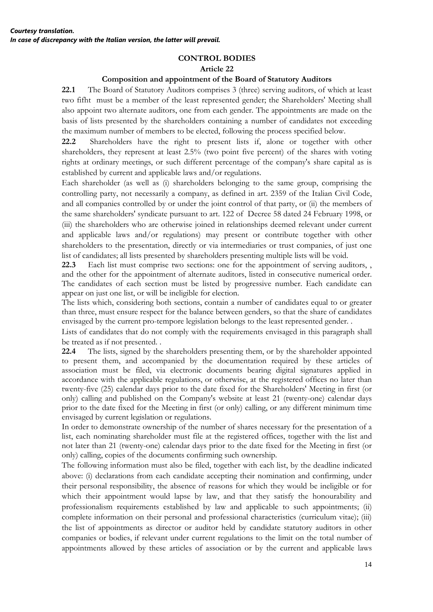#### **CONTROL BODIES Article 22**

### **Composition and appointment of the Board of Statutory Auditors**

**22.1** The Board of Statutory Auditors comprises 3 (three) serving auditors, of which at least two fifht must be a member of the least represented gender; the Shareholders' Meeting shall also appoint two alternate auditors, one from each gender. The appointments are made on the basis of lists presented by the shareholders containing a number of candidates not exceeding the maximum number of members to be elected, following the process specified below.

**22.2** Shareholders have the right to present lists if, alone or together with other shareholders, they represent at least 2.5% (two point five percent) of the shares with voting rights at ordinary meetings, or such different percentage of the company's share capital as is established by current and applicable laws and/or regulations.

Each shareholder (as well as (i) shareholders belonging to the same group, comprising the controlling party, not necessarily a company, as defined in art. 2359 of the Italian Civil Code, and all companies controlled by or under the joint control of that party, or (ii) the members of the same shareholders' syndicate pursuant to art. 122 of Decree 58 dated 24 February 1998, or (iii) the shareholders who are otherwise joined in relationships deemed relevant under current and applicable laws and/or regulations) may present or contribute together with other shareholders to the presentation, directly or via intermediaries or trust companies, of just one list of candidates; all lists presented by shareholders presenting multiple lists will be void.

**22.3** Each list must comprise two sections: one for the appointment of serving auditors, , and the other for the appointment of alternate auditors, listed in consecutive numerical order. The candidates of each section must be listed by progressive number. Each candidate can appear on just one list, or will be ineligible for election.

The lists which, considering both sections, contain a number of candidates equal to or greater than three, must ensure respect for the balance between genders, so that the share of candidates envisaged by the current pro-tempore legislation belongs to the least represented gender. .

Lists of candidates that do not comply with the requirements envisaged in this paragraph shall be treated as if not presented. .

**22.4** The lists, signed by the shareholders presenting them, or by the shareholder appointed to present them, and accompanied by the documentation required by these articles of association must be filed, via electronic documents bearing digital signatures applied in accordance with the applicable regulations, or otherwise, at the registered offices no later than twenty-five (25) calendar days prior to the date fixed for the Shareholders' Meeting in first (or only) calling and published on the Company's website at least 21 (twenty-one) calendar days prior to the date fixed for the Meeting in first (or only) calling, or any different minimum time envisaged by current legislation or regulations.

In order to demonstrate ownership of the number of shares necessary for the presentation of a list, each nominating shareholder must file at the registered offices, together with the list and not later than 21 (twenty-one) calendar days prior to the date fixed for the Meeting in first (or only) calling, copies of the documents confirming such ownership.

The following information must also be filed, together with each list, by the deadline indicated above: (i) declarations from each candidate accepting their nomination and confirming, under their personal responsibility, the absence of reasons for which they would be ineligible or for which their appointment would lapse by law, and that they satisfy the honourability and professionalism requirements established by law and applicable to such appointments; (ii) complete information on their personal and professional characteristics (curriculum vitae); (iii) the list of appointments as director or auditor held by candidate statutory auditors in other companies or bodies, if relevant under current regulations to the limit on the total number of appointments allowed by these articles of association or by the current and applicable laws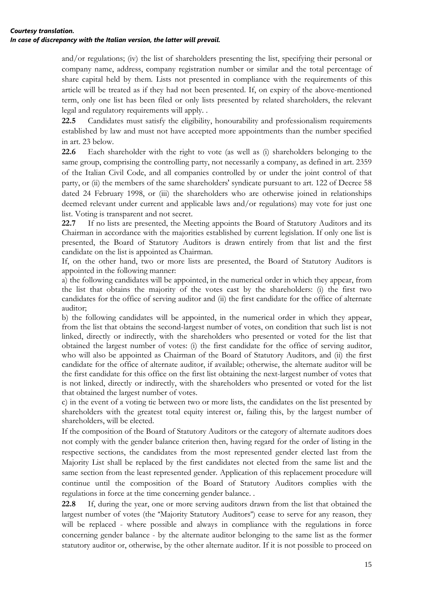#### *Courtesy translation. In case of discrepancy with the Italian version, the latter will prevail.*

and/or regulations; (iv) the list of shareholders presenting the list, specifying their personal or company name, address, company registration number or similar and the total percentage of share capital held by them. Lists not presented in compliance with the requirements of this article will be treated as if they had not been presented. If, on expiry of the above-mentioned term, only one list has been filed or only lists presented by related shareholders, the relevant legal and regulatory requirements will apply. .

**22.5** Candidates must satisfy the eligibility, honourability and professionalism requirements established by law and must not have accepted more appointments than the number specified in art. 23 below.

**22.6** Each shareholder with the right to vote (as well as (i) shareholders belonging to the same group, comprising the controlling party, not necessarily a company, as defined in art. 2359 of the Italian Civil Code, and all companies controlled by or under the joint control of that party, or (ii) the members of the same shareholders' syndicate pursuant to art. 122 of Decree 58 dated 24 February 1998, or (iii) the shareholders who are otherwise joined in relationships deemed relevant under current and applicable laws and/or regulations) may vote for just one list. Voting is transparent and not secret.

**22.7** If no lists are presented, the Meeting appoints the Board of Statutory Auditors and its Chairman in accordance with the majorities established by current legislation. If only one list is presented, the Board of Statutory Auditors is drawn entirely from that list and the first candidate on the list is appointed as Chairman.

If, on the other hand, two or more lists are presented, the Board of Statutory Auditors is appointed in the following manner:

a) the following candidates will be appointed, in the numerical order in which they appear, from the list that obtains the majority of the votes cast by the shareholders: (i) the first two candidates for the office of serving auditor and (ii) the first candidate for the office of alternate auditor;

b) the following candidates will be appointed, in the numerical order in which they appear, from the list that obtains the second-largest number of votes, on condition that such list is not linked, directly or indirectly, with the shareholders who presented or voted for the list that obtained the largest number of votes: (i) the first candidate for the office of serving auditor, who will also be appointed as Chairman of the Board of Statutory Auditors, and (ii) the first candidate for the office of alternate auditor, if available; otherwise, the alternate auditor will be the first candidate for this office on the first list obtaining the next-largest number of votes that is not linked, directly or indirectly, with the shareholders who presented or voted for the list that obtained the largest number of votes.

c) in the event of a voting tie between two or more lists, the candidates on the list presented by shareholders with the greatest total equity interest or, failing this, by the largest number of shareholders, will be elected.

If the composition of the Board of Statutory Auditors or the category of alternate auditors does not comply with the gender balance criterion then, having regard for the order of listing in the respective sections, the candidates from the most represented gender elected last from the Majority List shall be replaced by the first candidates not elected from the same list and the same section from the least represented gender. Application of this replacement procedure will continue until the composition of the Board of Statutory Auditors complies with the regulations in force at the time concerning gender balance. .

**22.8** If, during the year, one or more serving auditors drawn from the list that obtained the largest number of votes (the "Majority Statutory Auditors") cease to serve for any reason, they will be replaced - where possible and always in compliance with the regulations in force concerning gender balance - by the alternate auditor belonging to the same list as the former statutory auditor or, otherwise, by the other alternate auditor. If it is not possible to proceed on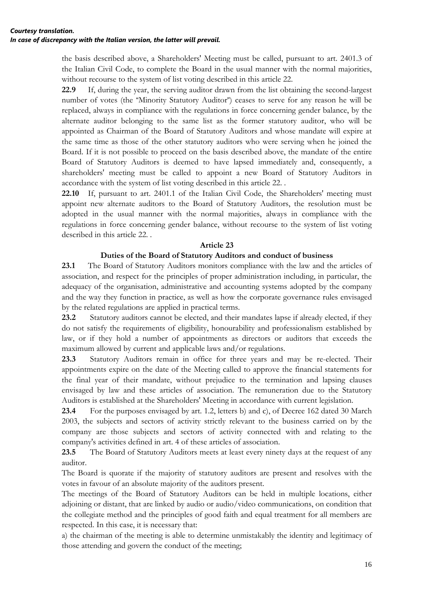the basis described above, a Shareholders' Meeting must be called, pursuant to art. 2401.3 of the Italian Civil Code, to complete the Board in the usual manner with the normal majorities, without recourse to the system of list voting described in this article 22.

**22.9** If, during the year, the serving auditor drawn from the list obtaining the second-largest number of votes (the "Minority Statutory Auditor") ceases to serve for any reason he will be replaced, always in compliance with the regulations in force concerning gender balance, by the alternate auditor belonging to the same list as the former statutory auditor, who will be appointed as Chairman of the Board of Statutory Auditors and whose mandate will expire at the same time as those of the other statutory auditors who were serving when he joined the Board. If it is not possible to proceed on the basis described above, the mandate of the entire Board of Statutory Auditors is deemed to have lapsed immediately and, consequently, a shareholders' meeting must be called to appoint a new Board of Statutory Auditors in accordance with the system of list voting described in this article 22. .

22.10 If, pursuant to art. 2401.1 of the Italian Civil Code, the Shareholders' meeting must appoint new alternate auditors to the Board of Statutory Auditors, the resolution must be adopted in the usual manner with the normal majorities, always in compliance with the regulations in force concerning gender balance, without recourse to the system of list voting described in this article 22. .

### **Article 23**

### **Duties of the Board of Statutory Auditors and conduct of business**

**23.1** The Board of Statutory Auditors monitors compliance with the law and the articles of association, and respect for the principles of proper administration including, in particular, the adequacy of the organisation, administrative and accounting systems adopted by the company and the way they function in practice, as well as how the corporate governance rules envisaged by the related regulations are applied in practical terms.

**23.2** Statutory auditors cannot be elected, and their mandates lapse if already elected, if they do not satisfy the requirements of eligibility, honourability and professionalism established by law, or if they hold a number of appointments as directors or auditors that exceeds the maximum allowed by current and applicable laws and/or regulations.

**23.3** Statutory Auditors remain in office for three years and may be re-elected. Their appointments expire on the date of the Meeting called to approve the financial statements for the final year of their mandate, without prejudice to the termination and lapsing clauses envisaged by law and these articles of association. The remuneration due to the Statutory Auditors is established at the Shareholders' Meeting in accordance with current legislation.

**23.4** For the purposes envisaged by art. 1.2, letters b) and c), of Decree 162 dated 30 March 2003, the subjects and sectors of activity strictly relevant to the business carried on by the company are those subjects and sectors of activity connected with and relating to the company's activities defined in art. 4 of these articles of association.

**23.5** The Board of Statutory Auditors meets at least every ninety days at the request of any auditor.

The Board is quorate if the majority of statutory auditors are present and resolves with the votes in favour of an absolute majority of the auditors present.

The meetings of the Board of Statutory Auditors can be held in multiple locations, either adjoining or distant, that are linked by audio or audio/video communications, on condition that the collegiate method and the principles of good faith and equal treatment for all members are respected. In this case, it is necessary that:

a) the chairman of the meeting is able to determine unmistakably the identity and legitimacy of those attending and govern the conduct of the meeting;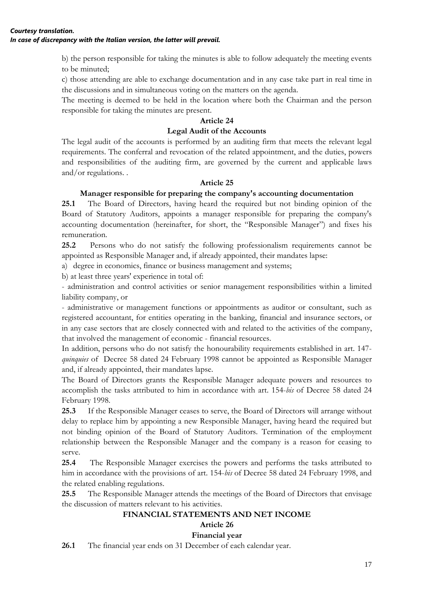b) the person responsible for taking the minutes is able to follow adequately the meeting events to be minuted;

c) those attending are able to exchange documentation and in any case take part in real time in the discussions and in simultaneous voting on the matters on the agenda.

The meeting is deemed to be held in the location where both the Chairman and the person responsible for taking the minutes are present.

# **Article 24**

### **Legal Audit of the Accounts**

The legal audit of the accounts is performed by an auditing firm that meets the relevant legal requirements. The conferral and revocation of the related appointment, and the duties, powers and responsibilities of the auditing firm, are governed by the current and applicable laws and/or regulations. .

# **Article 25**

# **Manager responsible for preparing the company's accounting documentation**

**25.1** The Board of Directors, having heard the required but not binding opinion of the Board of Statutory Auditors, appoints a manager responsible for preparing the company's accounting documentation (hereinafter, for short, the "Responsible Manager") and fixes his remuneration.

**25.2** Persons who do not satisfy the following professionalism requirements cannot be appointed as Responsible Manager and, if already appointed, their mandates lapse:

a) degree in economics, finance or business management and systems;

b) at least three years' experience in total of:

- administration and control activities or senior management responsibilities within a limited liability company, or

- administrative or management functions or appointments as auditor or consultant, such as registered accountant, for entities operating in the banking, financial and insurance sectors, or in any case sectors that are closely connected with and related to the activities of the company, that involved the management of economic - financial resources.

In addition, persons who do not satisfy the honourability requirements established in art. 147 *quinquies* of Decree 58 dated 24 February 1998 cannot be appointed as Responsible Manager and, if already appointed, their mandates lapse.

The Board of Directors grants the Responsible Manager adequate powers and resources to accomplish the tasks attributed to him in accordance with art. 154-*bis* of Decree 58 dated 24 February 1998.

**25.3** If the Responsible Manager ceases to serve, the Board of Directors will arrange without delay to replace him by appointing a new Responsible Manager, having heard the required but not binding opinion of the Board of Statutory Auditors. Termination of the employment relationship between the Responsible Manager and the company is a reason for ceasing to serve.

**25.4** The Responsible Manager exercises the powers and performs the tasks attributed to him in accordance with the provisions of art. 154-*bis* of Decree 58 dated 24 February 1998, and the related enabling regulations.

**25.5** The Responsible Manager attends the meetings of the Board of Directors that envisage the discussion of matters relevant to his activities.

# **FINANCIAL STATEMENTS AND NET INCOME**

# **Article 26**

### **Financial year**

**26.1** The financial year ends on 31 December of each calendar year.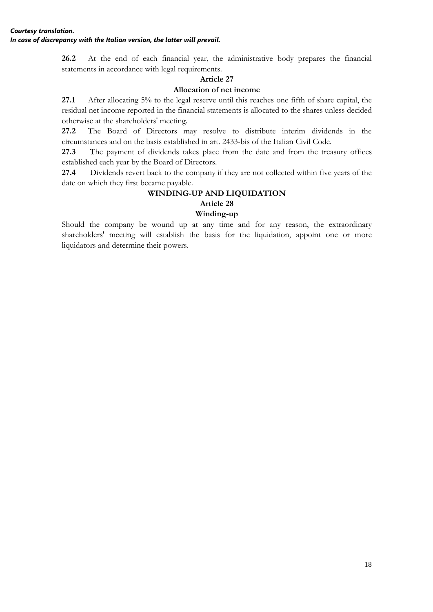**26.2** At the end of each financial year, the administrative body prepares the financial statements in accordance with legal requirements.

## **Article 27**

# **Allocation of net income**

**27.1** After allocating 5% to the legal reserve until this reaches one fifth of share capital, the residual net income reported in the financial statements is allocated to the shares unless decided otherwise at the shareholders' meeting.

**27.2** The Board of Directors may resolve to distribute interim dividends in the circumstances and on the basis established in art. 2433-bis of the Italian Civil Code.

**27.3** The payment of dividends takes place from the date and from the treasury offices established each year by the Board of Directors.

**27.4** Dividends revert back to the company if they are not collected within five years of the date on which they first became payable.

# **WINDING-UP AND LIQUIDATION**

# **Article 28**

## **Winding-up**

Should the company be wound up at any time and for any reason, the extraordinary shareholders' meeting will establish the basis for the liquidation, appoint one or more liquidators and determine their powers.